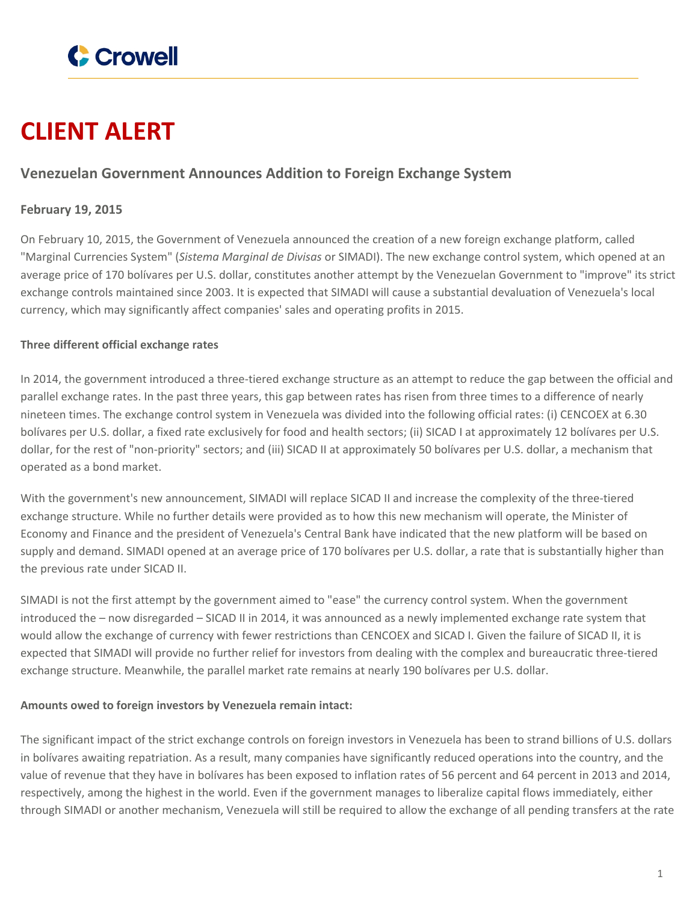

# **CLIENT ALERT**

## **Venezuelan Government Announces Addition to Foreign Exchange System**

### **February 19, 2015**

On February 10, 2015, the Government of Venezuela announced the creation of a new foreign exchange platform, called "Marginal Currencies System" (*Sistema Marginal de Divisas* or SIMADI). The new exchange control system, which opened at an average price of 170 bolívares per U.S. dollar, constitutes another attempt by the Venezuelan Government to "improve" its strict exchange controls maintained since 2003. It is expected that SIMADI will cause a substantial devaluation of Venezuela's local currency, which may significantly affect companies' sales and operating profits in 2015.

#### **Three different official exchange rates**

In 2014, the government introduced a three-tiered exchange structure as an attempt to reduce the gap between the official and parallel exchange rates. In the past three years, this gap between rates has risen from three times to a difference of nearly nineteen times. The exchange control system in Venezuela was divided into the following official rates: (i) CENCOEX at 6.30 bolívares per U.S. dollar, a fixed rate exclusively for food and health sectors; (ii) SICAD I at approximately 12 bolívares per U.S. dollar, for the rest of "non-priority" sectors; and (iii) SICAD II at approximately 50 bolívares per U.S. dollar, a mechanism that operated as a bond market.

With the government's new announcement, SIMADI will replace SICAD II and increase the complexity of the three-tiered exchange structure. While no further details were provided as to how this new mechanism will operate, the Minister of Economy and Finance and the president of Venezuela's Central Bank have indicated that the new platform will be based on supply and demand. SIMADI opened at an average price of 170 bolívares per U.S. dollar, a rate that is substantially higher than the previous rate under SICAD II.

SIMADI is not the first attempt by the government aimed to "ease" the currency control system. When the government introduced the – now disregarded – SICAD II in 2014, it was announced as a newly implemented exchange rate system that would allow the exchange of currency with fewer restrictions than CENCOEX and SICAD I. Given the failure of SICAD II, it is expected that SIMADI will provide no further relief for investors from dealing with the complex and bureaucratic three-tiered exchange structure. Meanwhile, the parallel market rate remains at nearly 190 bolívares per U.S. dollar.

#### **Amounts owed to foreign investors by Venezuela remain intact:**

The significant impact of the strict exchange controls on foreign investors in Venezuela has been to strand billions of U.S. dollars in bolívares awaiting repatriation. As a result, many companies have significantly reduced operations into the country, and the value of revenue that they have in bolívares has been exposed to inflation rates of 56 percent and 64 percent in 2013 and 2014, respectively, among the highest in the world. Even if the government manages to liberalize capital flows immediately, either through SIMADI or another mechanism, Venezuela will still be required to allow the exchange of all pending transfers at the rate